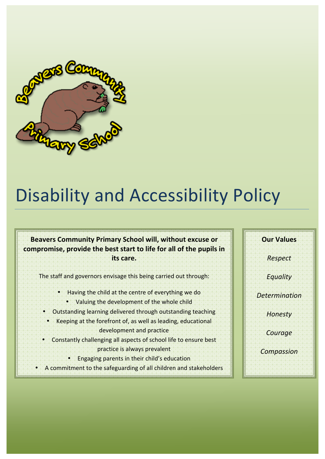

# Disability and Accessibility Policy

### Beavers Community Primary School will, without excuse or compromise, provide the best start to life for all of the pupils in its care.

The staff and governors envisage this being carried out through:

- Having the child at the centre of everything we do
	- Valuing the development of the whole child
- Outstanding learning delivered through outstanding teaching
- Keeping at the forefront of, as well as leading, educational development and practice
- Constantly challenging all aspects of school life to ensure best practice is always prevalent
	- Engaging parents in their child's education
- A commitment to the safeguarding of all children and stakeholders

**Our'Values** *Respect Equality Determination Honesty Courage Compassion*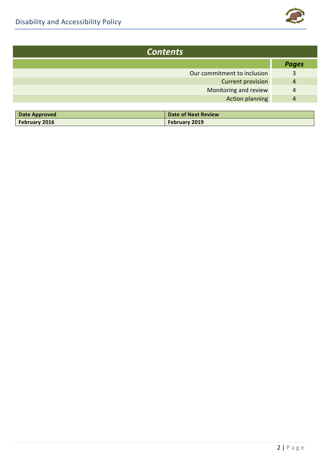

| <b>Contents</b>             |              |  |
|-----------------------------|--------------|--|
|                             | <b>Pages</b> |  |
| Our commitment to inclusion | 3            |  |
| <b>Current provision</b>    | 4            |  |
| Monitoring and review       | 4            |  |
| <b>Action planning</b>      |              |  |
|                             |              |  |

| Date Approved | <b>Date of Next Review</b> |
|---------------|----------------------------|
| February 2016 | <b>February 2019</b>       |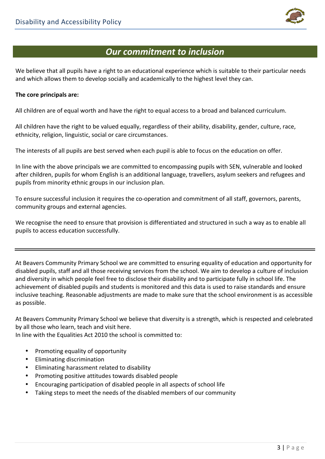

## **Our commitment to inclusion**

We believe that all pupils have a right to an educational experience which is suitable to their particular needs and which allows them to develop socially and academically to the highest level they can.

#### The core principals are:

All children are of equal worth and have the right to equal access to a broad and balanced curriculum.

All children have the right to be valued equally, regardless of their ability, disability, gender, culture, race, ethnicity, religion, linguistic, social or care circumstances.

The interests of all pupils are best served when each pupil is able to focus on the education on offer.

In line with the above principals we are committed to encompassing pupils with SEN, vulnerable and looked after children, pupils for whom English is an additional language, travellers, asylum seekers and refugees and pupils from minority ethnic groups in our inclusion plan.

To ensure successful inclusion it requires the co-operation and commitment of all staff, governors, parents, community groups and external agencies.

We recognise the need to ensure that provision is differentiated and structured in such a way as to enable all pupils to access education successfully.

At Beavers Community Primary School we are committed to ensuring equality of education and opportunity for disabled pupils, staff and all those receiving services from the school. We aim to develop a culture of inclusion and diversity in which people feel free to disclose their disability and to participate fully in school life. The achievement of disabled pupils and students is monitored and this data is used to raise standards and ensure inclusive teaching. Reasonable adjustments are made to make sure that the school environment is as accessible as possible.

At Beavers Community Primary School we believe that diversity is a strength, which is respected and celebrated by all those who learn, teach and visit here.

In line with the Equalities Act 2010 the school is committed to:

- Promoting equality of opportunity
- Eliminating discrimination
- Eliminating harassment related to disability
- Promoting positive attitudes towards disabled people
- Encouraging participation of disabled people in all aspects of school life
- Taking steps to meet the needs of the disabled members of our community